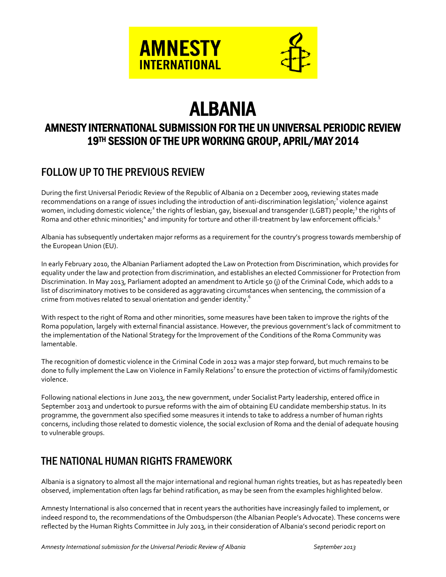

# ALBANIA

# AMNESTY INTERNATIONAL SUBMISSION FOR THE UN UNIVERSAL PERIODIC REVIEW 19TH SESSION OF THE UPR WORKING GROUP, APRIL/MAY 2014

## FOLLOW UP TO THE PREVIOUS REVIEW

During the first Universal Periodic Review of the Republic of Albania on 2 December 2009, reviewing states made recommendations on a range of issues including the introduction of anti-discrimination legislation;<sup>1</sup> violence against women, including domestic violence;<sup>2</sup> the rights of lesbian, gay, bisexual and transgender (LGBT) people;<sup>3</sup> the rights of Roma and other ethnic minorities;<sup>4</sup> and impunity for torture and other ill-treatment by law enforcement officials.<sup>5</sup>

Albania has subsequently undertaken major reforms as a requirement for the country's progress towards membership of the European Union (EU).

In early February 2010, the Albanian Parliament adopted the Law on Protection from Discrimination, which provides for equality under the law and protection from discrimination, and establishes an elected Commissioner for Protection from Discrimination. In May 2013, Parliament adopted an amendment to Article 50 (j) of the Criminal Code, which adds to a list of discriminatory motives to be considered as aggravating circumstances when sentencing, the commission of a crime from motives related to sexual orientation and gender identity. 6

With respect to the right of Roma and other minorities, some measures have been taken to improve the rights of the Roma population, largely with external financial assistance. However, the previous government's lack of commitment to the implementation of the National Strategy for the Improvement of the Conditions of the Roma Community was lamentable.

The recognition of domestic violence in the Criminal Code in 2012 was a major step forward, but much remains to be done to fully implement the Law on Violence in Family Relations<sup>7</sup> to ensure the protection of victims of family/domestic violence.

Following national elections in June 2013, the new government, under Socialist Party leadership, entered office in September 2013 and undertook to pursue reforms with the aim of obtaining EU candidate membership status. In its programme, the government also specified some measures it intends to take to address a number of human rights concerns, including those related to domestic violence, the social exclusion of Roma and the denial of adequate housing to vulnerable groups.

### THE NATIONAL HUMAN RIGHTS FRAMEWORK

Albania is a signatory to almost all the major international and regional human rights treaties, but as has repeatedly been observed, implementation often lags far behind ratification, as may be seen from the examples highlighted below.

Amnesty International is also concerned that in recent years the authorities have increasingly failed to implement, or indeed respond to, the recommendations of the Ombudsperson (the Albanian People's Advocate). These concerns were reflected by the Human Rights Committee in July 2013, in their consideration of Albania's second periodic report on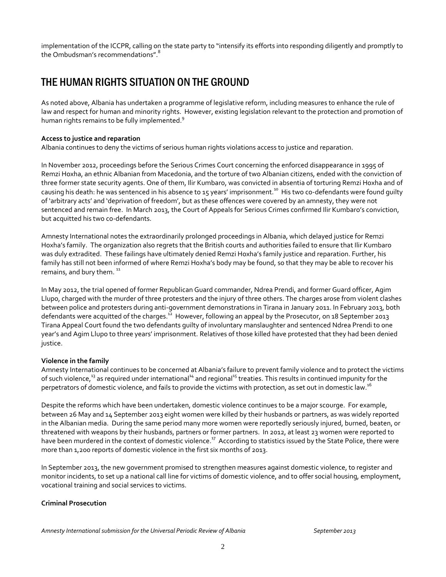implementation of the ICCPR, calling on the state party to "intensify its efforts into responding diligently and promptly to the Ombudsman's recommendations".<sup>8</sup>

# THE HUMAN RIGHTS SITUATION ON THE GROUND

As noted above, Albania has undertaken a programme of legislative reform, including measures to enhance the rule of law and respect for human and minority rights. However, existing legislation relevant to the protection and promotion of human rights remains to be fully implemented.<sup>9</sup>

#### **Access to justice and reparation**

Albania continues to deny the victims of serious human rights violations access to justice and reparation.

In November 2012, proceedings before the Serious Crimes Court concerning the enforced disappearance in 1995 of Remzi Hoxha, an ethnic Albanian from Macedonia, and the torture of two Albanian citizens, ended with the conviction of three former state security agents. One of them, Ilir Kumbaro, was convicted in absentia of torturing Remzi Hoxha and of causing his death: he was sentenced in his absence to 15 years' imprisonment.<sup>10</sup> His two co-defendants were found guilty of 'arbitrary acts' and 'deprivation of freedom', but as these offences were covered by an amnesty, they were not sentenced and remain free. In March 2013, the Court of Appeals for Serious Crimes confirmed Ilir Kumbaro's conviction, but acquitted his two co-defendants.

Amnesty International notes the extraordinarily prolonged proceedings in Albania, which delayed justice for Remzi Hoxha's family. The organization also regrets that the British courts and authorities failed to ensure that Ilir Kumbaro was duly extradited. These failings have ultimately denied Remzi Hoxha's family justice and reparation. Further, his family has still not been informed of where Remzi Hoxha's body may be found, so that they may be able to recover his remains, and bury them.  $^{11}$ 

In May 2012, the trial opened of former Republican Guard commander, Ndrea Prendi, and former Guard officer, Agim Llupo, charged with the murder of three protesters and the injury of three others. The charges arose from violent clashes between police and protesters during anti-government demonstrations in Tirana in January 2011. In February 2013, both defendants were acquitted of the charges.<sup>12</sup> However, following an appeal by the Prosecutor, on 18 September 2013 Tirana Appeal Court found the two defendants guilty of involuntary manslaughter and sentenced Ndrea Prendi to one year's and Agim Llupo to three years' imprisonment. Relatives of those killed have protested that they had been denied justice.

#### **Violence in the family**

Amnesty International continues to be concerned at Albania's failure to prevent family violence and to protect the victims of such violence,<sup>13</sup> as required under international<sup>14</sup> and regional<sup>15</sup> treaties. This results in continued impunity for the perpetrators of domestic violence, and fails to provide the victims with protection, as set out in domestic law.<sup>16</sup>

Despite the reforms which have been undertaken, domestic violence continues to be a major scourge. For example, between 26 May and 14 September 2013 eight women were killed by their husbands or partners, as was widely reported in the Albanian media. During the same period many more women were reportedly seriously injured, burned, beaten, or threatened with weapons by their husbands, partners or former partners. In 2012, at least 23 women were reported to have been murdered in the context of domestic violence.<sup>17</sup> According to statistics issued by the State Police, there were more than 1,200 reports of domestic violence in the first six months of 2013.

In September 2013, the new government promised to strengthen measures against domestic violence, to register and monitor incidents, to set up a national call line for victims of domestic violence, and to offer social housing, employment, vocational training and social services to victims.

#### **Criminal Prosecution**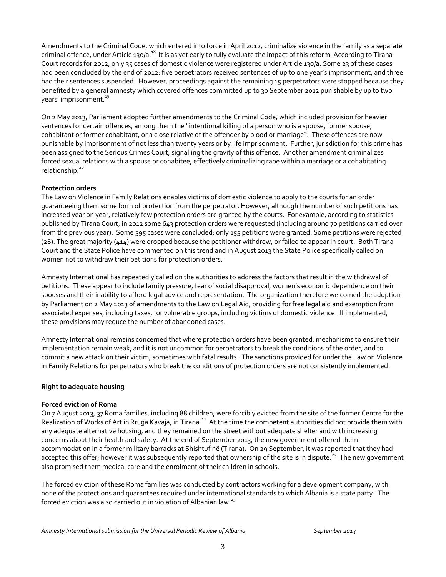Amendments to the Criminal Code, which entered into force in April 2012, criminalize violence in the family as a separate criminal offence, under Article 130/a.<sup>18</sup> It is as yet early to fully evaluate the impact of this reform. According to Tirana Court records for 2012, only 35 cases of domestic violence were registered under Article 130/a. Some 23 of these cases had been concluded by the end of 2012: five perpetrators received sentences of up to one year's imprisonment, and three had their sentences suspended. However, proceedings against the remaining 15 perpetrators were stopped because they benefited by a general amnesty which covered offences committed up to 30 September 2012 punishable by up to two years' imprisonment.<sup>19</sup>

On 2 May 2013, Parliament adopted further amendments to the Criminal Code, which included provision for heavier sentences for certain offences, among them the "intentional killing of a person who is a spouse, former spouse, cohabitant or former cohabitant, or a close relative of the offender by blood or marriage". These offences are now punishable by imprisonment of not less than twenty years or by life imprisonment. Further, jurisdiction for this crime has been assigned to the Serious Crimes Court, signalling the gravity of this offence. Another amendment criminalizes forced sexual relations with a spouse or cohabitee, effectively criminalizing rape within a marriage or a cohabitating relationship.<sup>20</sup>

#### **Protection orders**

The Law on Violence in Family Relations enables victims of domestic violence to apply to the courts for an order guaranteeing them some form of protection from the perpetrator. However, although the number of such petitions has increased year on year, relatively few protection orders are granted by the courts. For example, according to statistics published by Tirana Court, in 2012 some 643 protection orders were requested (including around 70 petitions carried over from the previous year). Some 595 cases were concluded: only 155 petitions were granted. Some petitions were rejected (26). The great majority (414) were dropped because the petitioner withdrew, or failed to appear in court. Both Tirana Court and the State Police have commented on this trend and in August 2013 the State Police specifically called on women not to withdraw their petitions for protection orders.

Amnesty International has repeatedly called on the authorities to address the factors that result in the withdrawal of petitions. These appear to include family pressure, fear of social disapproval, women's economic dependence on their spouses and their inability to afford legal advice and representation. The organization therefore welcomed the adoption by Parliament on 2 May 2013 of amendments to the Law on Legal Aid, providing for free legal aid and exemption from associated expenses, including taxes, for vulnerable groups, including victims of domestic violence. If implemented, these provisions may reduce the number of abandoned cases.

Amnesty International remains concerned that where protection orders have been granted, mechanisms to ensure their implementation remain weak, and it is not uncommon for perpetrators to break the conditions of the order, and to commit a new attack on their victim, sometimes with fatal results. The sanctions provided for under the Law on Violence in Family Relations for perpetrators who break the conditions of protection orders are not consistently implemented.

#### **Right to adequate housing**

#### **Forced eviction of Roma**

On 7 August 2013, 37 Roma families, including 88 children, were forcibly evicted from the site of the former Centre for the Realization of Works of Art in Rruga Kavaja, in Tirana.<sup>21</sup> At the time the competent authorities did not provide them with any adequate alternative housing, and they remained on the street without adequate shelter and with increasing concerns about their health and safety. At the end of September 2013, the new government offered them accommodation in a former military barracks at Shishtufinë (Tirana). On 29 September, it was reported that they had accepted this offer; however it was subsequently reported that ownership of the site is in dispute.<sup>22</sup> The new government also promised them medical care and the enrolment of their children in schools.

The forced eviction of these Roma families was conducted by contractors working for a development company, with none of the protections and guarantees required under international standards to which Albania is a state party. The forced eviction was also carried out in violation of Albanian law.<sup>23</sup>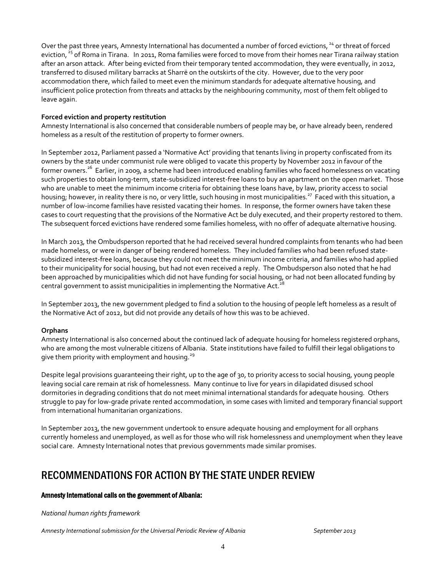Over the past three years, Amnesty International has documented a number of forced evictions,<sup>24</sup> or threat of forced eviction, <sup>25</sup> of Roma in Tirana. In 2011, Roma families were forced to move from their homes near Tirana railway station after an arson attack. After being evicted from their temporary tented accommodation, they were eventually, in 2012, transferred to disused military barracks at Sharrë on the outskirts of the city. However, due to the very poor accommodation there, which failed to meet even the minimum standards for adequate alternative housing, and insufficient police protection from threats and attacks by the neighbouring community, most of them felt obliged to leave again.

#### **Forced eviction and property restitution**

Amnesty International is also concerned that considerable numbers of people may be, or have already been, rendered homeless as a result of the restitution of property to former owners.

In September 2012, Parliament passed a 'Normative Act' providing that tenants living in property confiscated from its owners by the state under communist rule were obliged to vacate this property by November 2012 in favour of the former owners.<sup>26</sup> Earlier, in 2009, a scheme had been introduced enabling families who faced homelessness on vacating such properties to obtain long-term, state-subsidized interest-free loans to buy an apartment on the open market. Those who are unable to meet the minimum income criteria for obtaining these loans have, by law, priority access to social housing; however, in reality there is no, or very little, such housing in most municipalities.<sup>27</sup> Faced with this situation, a number of low-income families have resisted vacating their homes. In response, the former owners have taken these cases to court requesting that the provisions of the Normative Act be duly executed, and their property restored to them. The subsequent forced evictions have rendered some families homeless, with no offer of adequate alternative housing.

In March 2013, the Ombudsperson reported that he had received several hundred complaints from tenants who had been made homeless, or were in danger of being rendered homeless. They included families who had been refused statesubsidized interest-free loans, because they could not meet the minimum income criteria, and families who had applied to their municipality for social housing, but had not even received a reply. The Ombudsperson also noted that he had been approached by municipalities which did not have funding for social housing, or had not been allocated funding by central government to assist municipalities in implementing the Normative Act.<sup>2</sup>

In September 2013, the new government pledged to find a solution to the housing of people left homeless as a result of the Normative Act of 2012, but did not provide any details of how this was to be achieved.

#### **Orphans**

Amnesty International is also concerned about the continued lack of adequate housing for homeless registered orphans, who are among the most vulnerable citizens of Albania. State institutions have failed to fulfill their legal obligations to give them priority with employment and housing. $^{29}$ 

Despite legal provisions guaranteeing their right, up to the age of 30, to priority access to social housing, young people leaving social care remain at risk of homelessness. Many continue to live for years in dilapidated disused school dormitories in degrading conditions that do not meet minimal international standards for adequate housing. Others struggle to pay for low-grade private rented accommodation, in some cases with limited and temporary financial support from international humanitarian organizations.

In September 2013, the new government undertook to ensure adequate housing and employment for all orphans currently homeless and unemployed, as well as for those who will risk homelessness and unemployment when they leave social care. Amnesty International notes that previous governments made similar promises.

### RECOMMENDATIONS FOR ACTION BY THE STATE UNDER REVIEW

#### Amnesty International calls on the government of Albania:

*National human rights framework*

*Amnesty International submission for the Universal Periodic Review of Albania September 2013*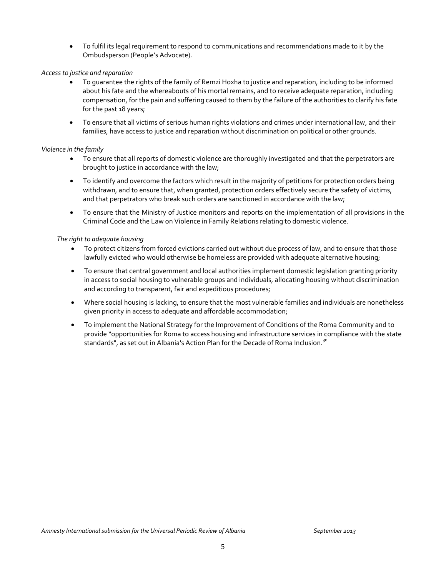To fulfil its legal requirement to respond to communications and recommendations made to it by the Ombudsperson (People's Advocate).

#### *Access to justice and reparation*

- To guarantee the rights of the family of Remzi Hoxha to justice and reparation, including to be informed about his fate and the whereabouts of his mortal remains, and to receive adequate reparation, including compensation, for the pain and suffering caused to them by the failure of the authorities to clarify his fate for the past 18 years;
- To ensure that all victims of serious human rights violations and crimes under international law, and their families, have access to justice and reparation without discrimination on political or other grounds.

#### *Violence in the family*

- To ensure that all reports of domestic violence are thoroughly investigated and that the perpetrators are brought to justice in accordance with the law;
- To identify and overcome the factors which result in the majority of petitions for protection orders being withdrawn, and to ensure that, when granted, protection orders effectively secure the safety of victims, and that perpetrators who break such orders are sanctioned in accordance with the law;
- To ensure that the Ministry of Justice monitors and reports on the implementation of all provisions in the Criminal Code and the Law on Violence in Family Relations relating to domestic violence.

#### *The right to adequate housing*

- To protect citizens from forced evictions carried out without due process of law, and to ensure that those lawfully evicted who would otherwise be homeless are provided with adequate alternative housing;
- To ensure that central government and local authorities implement domestic legislation granting priority in access to social housing to vulnerable groups and individuals, allocating housing without discrimination and according to transparent, fair and expeditious procedures;
- Where social housing is lacking, to ensure that the most vulnerable families and individuals are nonetheless given priority in access to adequate and affordable accommodation;
- To implement the National Strategy for the Improvement of Conditions of the Roma Community and to provide "opportunities for Roma to access housing and infrastructure services in compliance with the state standards", as set out in Albania's Action Plan for the Decade of Roma Inclusion.<sup>30</sup>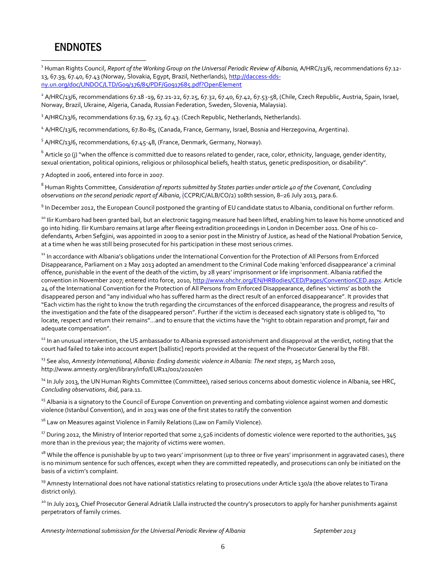### ENDNOTES

 $\overline{a}$ 

<sup>1</sup> Human Rights Council, *Report of the Working Group on the Universal Periodic Review of Albania,* A/HRC/13/6, recommendations 67.12- 13, 67.39, 67.40, 67.43 (Norway, Slovakia, Egypt, Brazil, Netherlands)[, http://daccess-dds](http://daccess-dds-ny.un.org/doc/UNDOC/LTD/G09/176/85/PDF/G0917685.pdf?OpenElement)[ny.un.org/doc/UNDOC/LTD/G09/176/85/PDF/G0917685.pdf?OpenElement](http://daccess-dds-ny.un.org/doc/UNDOC/LTD/G09/176/85/PDF/G0917685.pdf?OpenElement)

 $^2$  A/HRC/13/6, recommendations 67.18 -19, 67.21-22, 67.25, 67.32, 67.40, 67.42, 67.53-58, (Chile, Czech Republic, Austria, Spain, Israel, Norway, Brazil, Ukraine, Algeria, Canada, Russian Federation, Sweden, Slovenia, Malaysia).

 $3$  A/HRC/13/6, recommendations 67.19, 67.23, 67.43. (Czech Republic, Netherlands, Netherlands).

<sup>4</sup> A/HRC/13/6, recommendations, 67.80-85, (Canada, France, Germany, Israel, Bosnia and Herzegovina, Argentina).

<sup>5</sup> A/HRC/13/6, recommendations, 67.45-48, (France, Denmark, Germany, Norway).

 $^6$  Article 50 (j) "when the offence is committed due to reasons related to gender, race, color, ethnicity, language, gender identity, sexual orientation, political opinions, religious or philosophical beliefs, health status, genetic predisposition, or disability".

7 Adopted in 2006, entered into force in 2007.

<sup>8</sup> Human Rights Committee, *Consideration of reports submitted by States parties under article 40 of the Covenant, Concluding observations on the second periodic report of Albania*, (CCPR/C/ALB/CO/2) 108th session, 8–26 July 2013, para.6.

<sup>9</sup> In December 2012, the European Council postponed the granting of EU candidate status to Albania, conditional on further reform.

<sup>10</sup> Ilir Kumbaro had been granted bail, but an electronic tagging measure had been lifted, enabling him to leave his home unnoticed and go into hiding. Ilir Kumbaro remains at large after fleeing extradition proceedings in London in December 2011. One of his codefendants, Arben Sefgjini, was appointed in 2009 to a senior post in the Ministry of Justice, as head of the National Probation Service, at a time when he was still being prosecuted for his participation in these most serious crimes.

<sup>11</sup> In accordance with Albania's obligations under the International Convention for the Protection of All Persons from Enforced Disappearance, Parliament on 2 May 2013 adopted an amendment to the Criminal Code making 'enforced disappearance' a criminal offence, punishable in the event of the death of the victim, by 28 years' imprisonment or life imprisonment. Albania ratified the convention in November 2007; entered into force, 2010, [http://www.ohchr.org/EN/HRBodies/CED/Pages/ConventionCED.aspx.](http://www.ohchr.org/EN/HRBodies/CED/Pages/ConventionCED.aspx) Article 24 of the International Convention for the Protection of All Persons from Enforced Disappearance, defines 'victims' as both the disappeared person and "any individual who has suffered harm as the direct result of an enforced disappearance". It provides that "Each victim has the right to know the truth regarding the circumstances of the enforced disappearance, the progress and results of the investigation and the fate of the disappeared person". Further if the victim is deceased each signatory state is obliged to, "to locate, respect and return their remains"...and to ensure that the victims have the "right to obtain reparation and prompt, fair and adequate compensation".

<sup>12</sup> In an unusual intervention, the US ambassador to Albania expressed astonishment and disapproval at the verdict, noting that the court had failed to take into account expert [ballistic] reports provided at the request of the Prosecutor General by the FBI.

<sup>13</sup> See also, Amnesty International, Albania: Ending domestic violence in Albania: The next steps, 25 March 2010, http://www.amnesty.org/en/library/info/EUR11/001/2010/en

<sup>14</sup> In July 2013, the UN Human Rights Committee (Committee), raised serious concerns about domestic violence in Albania, see HRC, *Concluding observations*, *ibid*, para.11.

<sup>15</sup> Albania is a signatory to the Council of Europe Convention on preventing and combating violence against women and domestic violence (Istanbul Convention), and in 2013 was one of the first states to ratify the convention

<sup>16</sup> Law on Measures against Violence in Family Relations (Law on Family Violence).

 $^{17}$  During 2012, the Ministry of Interior reported that some 2,526 incidents of domestic violence were reported to the authorities, 345 more than in the previous year; the majority of victims were women.

 $^{18}$  While the offence is punishable by up to two years' imprisonment (up to three or five years' imprisonment in aggravated cases), there is no minimum sentence for such offences, except when they are committed repeatedly, and prosecutions can only be initiated on the basis of a victim's complaint.

<sup>19</sup> Amnesty International does not have national statistics relating to prosecutions under Article 130/a (the above relates to Tirana district only).

<sup>20</sup> In July 2013, Chief Prosecutor General Adriatik Llalla instructed the country's prosecutors to apply for harsher punishments against perpetrators of family crimes.

*Amnesty International submission for the Universal Periodic Review of Albania September 2013*